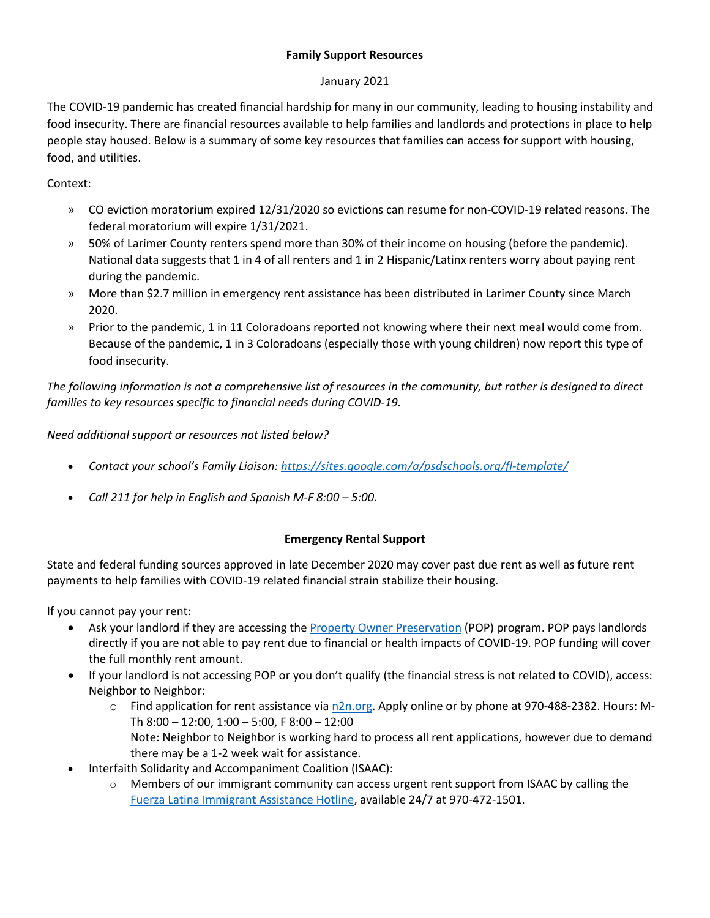### **Family Support Resources**

### January 2021

The COVID-19 pandemic has created financial hardship for many in our community, leading to housing instability and food insecurity. There are financial resources available to help families and landlords and protections in place to help people stay housed. Below is a summary of some key resources that families can access for support with housing, food, and utilities.

Context:

- » CO eviction moratorium expired 12/31/2020 so evictions can resume for non-COVID-19 related reasons. The federal moratorium will expire 1/31/2021.
- » 50% of Larimer County renters spend more than 30% of their income on housing (before the pandemic). National data suggests that 1 in 4 of all renters and 1 in 2 Hispanic/Latinx renters worry about paying rent during the pandemic.
- » More than \$2.7 million in emergency rent assistance has been distributed in Larimer County since March 2020.
- » Prior to the pandemic, 1 in 11 Coloradoans reported not knowing where their next meal would come from. Because of the pandemic, 1 in 3 Coloradoans (especially those with young children) now report this type of food insecurity.

*The following information is not a comprehensive list of resources in the community, but rather is designed to direct families to key resources specific to financial needs during COVID-19.*

*Need additional support or resources not listed below?* 

- *Contact your school's Family Liaison:<https://sites.google.com/a/psdschools.org/fl-template/>*
- *Call 211 for help in English and Spanish M-F 8:00 – 5:00.*

## **Emergency Rental Support**

State and federal funding sources approved in late December 2020 may cover past due rent as well as future rent payments to help families with COVID-19 related financial strain stabilize their housing.

If you cannot pay your rent:

- Ask your landlord if they are accessing the [Property Owner Preservation](https://dola.colorado.gov/doh_care/landlordLogin.jsf) (POP) program. POP pays landlords directly if you are not able to pay rent due to financial or health impacts of COVID-19. POP funding will cover the full monthly rent amount.
- If your landlord is not accessing POP or you don't qualify (the financial stress is not related to COVID), access: Neighbor to Neighbor:
	- $\circ$  Find application for rent assistance via [n2n.org.](http://n2n.org/) Apply online or by phone a[t 970-488-2382.](tel:9704882382) Hours: M-Th 8:00 – 12:00, 1:00 – 5:00, F 8:00 – 12:00 Note: Neighbor to Neighbor is working hard to process all rent applications, however due to demand there may be a 1-2 week wait for assistance.
- Interfaith Solidarity and Accompaniment Coalition (ISAAC):
	- o Members of our immigrant community can access urgent rent support from ISAAC by calling the [Fuerza Latina Immigrant Assistance Hotline,](http://fccan.org/affiliates/fuerza-latina/) available 24/7 at 970-472-1501.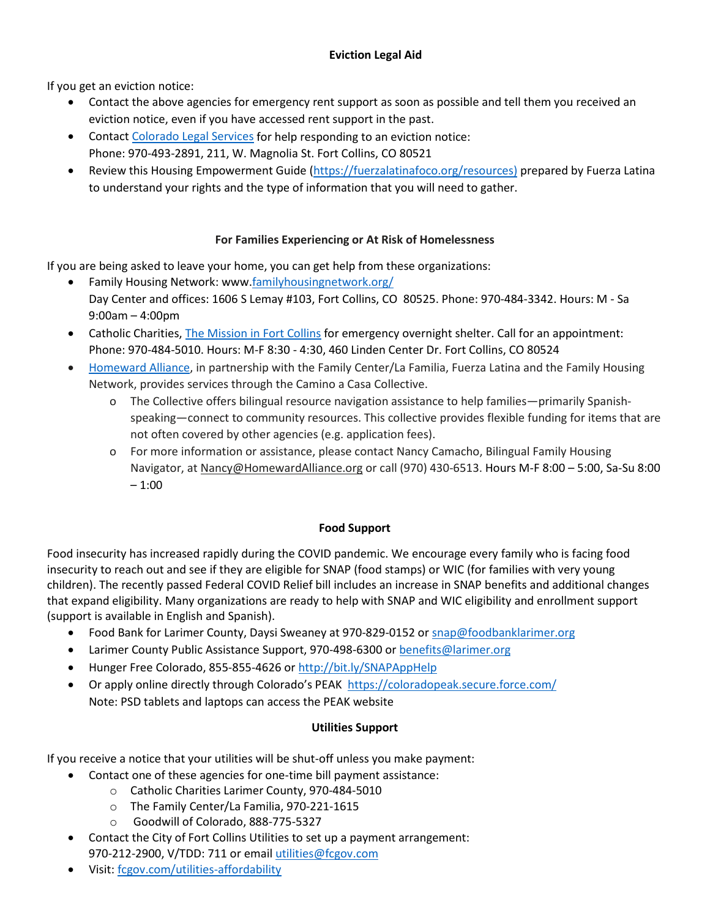## **Eviction Legal Aid**

If you get an eviction notice:

- Contact the above agencies for emergency rent support as soon as possible and tell them you received an eviction notice, even if you have accessed rent support in the past.
- Contac[t Colorado Legal Services](https://www.coloradolegalservices.org/) for help responding to an eviction notice: Phone: 970-493-2891, 211, W. Magnolia St. Fort Collins, CO 80521
- Review this Housing Empowerment Guide [\(https://fuerzalatinafoco.org/resources\)](https://fuerzalatinafoco.org/resources) prepared by Fuerza Latina to understand your rights and the type of information that you will need to gather.

# **For Families Experiencing or At Risk of Homelessness**

If you are being asked to leave your home, you can get help from these organizations:

- Family Housing Network: www[.familyhousingnetwork.org/](http://www.familyhousingnetwork.org/) Day Center and offices: 1606 S Lemay #103, Fort Collins, CO 80525. Phone: 970-484-3342. Hours: M - Sa 9:00am – 4:00pm
- Catholic Charities[, The Mission in Fort Collins](https://ccdenver.org/larimer-county-services/the-mission-in-fort-collins/) for emergency overnight shelter. Call for an appointment: Phone: 970-484-5010. Hours: M-F 8:30 - 4:30, 460 Linden Center Dr. Fort Collins, CO 80524
- [Homeward Alliance,](https://www.homewardalliance.org/) in partnership with the Family Center/La Familia, Fuerza Latina and the Family Housing Network, provides services through the Camino a Casa Collective.
	- o The Collective offers bilingual resource navigation assistance to help families—primarily Spanishspeaking—connect to community resources. This collective provides flexible funding for items that are not often covered by other agencies (e.g. application fees).
	- o For more information or assistance, please contact Nancy Camacho, Bilingual Family Housing Navigator, at [Nancy@HomewardAlliance.org](mailto:Nancy@HomewardAllianace.org) or call (970) 430-6513. Hours M-F 8:00 – 5:00, Sa-Su 8:00  $-1:00$

## **Food Support**

Food insecurity has increased rapidly during the COVID pandemic. We encourage every family who is facing food insecurity to reach out and see if they are eligible for SNAP (food stamps) or WIC (for families with very young children). The recently passed Federal COVID Relief bill includes an increase in SNAP benefits and additional changes that expand eligibility. Many organizations are ready to help with SNAP and WIC eligibility and enrollment support (support is available in English and Spanish).

- Food Bank for Larimer County, Daysi Sweaney at 970-829-0152 o[r snap@foodbanklarimer.org](mailto:snap@foodbanklarimer.org)
- Larimer County Public Assistance Support, 970-498-6300 o[r benefits@larimer.org](mailto:benefits@larimer.org)
- Hunger Free Colorado, 855-855-4626 or<http://bit.ly/SNAPAppHelp>
- Or apply online directly through Colorado's PEAK <https://coloradopeak.secure.force.com/> Note: PSD tablets and laptops can access the PEAK website

## **Utilities Support**

If you receive a notice that your utilities will be shut-off unless you make payment:

- Contact one of these agencies for one-time bill payment assistance:
	- o Catholic Charities Larimer County, 970-484-5010
	- o The Family Center/La Familia, 970-221-1615
	- o Goodwill of Colorado, 888-775-5327
- Contact the City of Fort Collins Utilities to set up a payment arrangement: 970-212-2900, V/TDD: 711 or emai[l utilities@fcgov.com](mailto:utilities@fcgov.com)
- Visit: [fcgov.com/utilities-affordability](http://fcgov.com/utilities-affordability)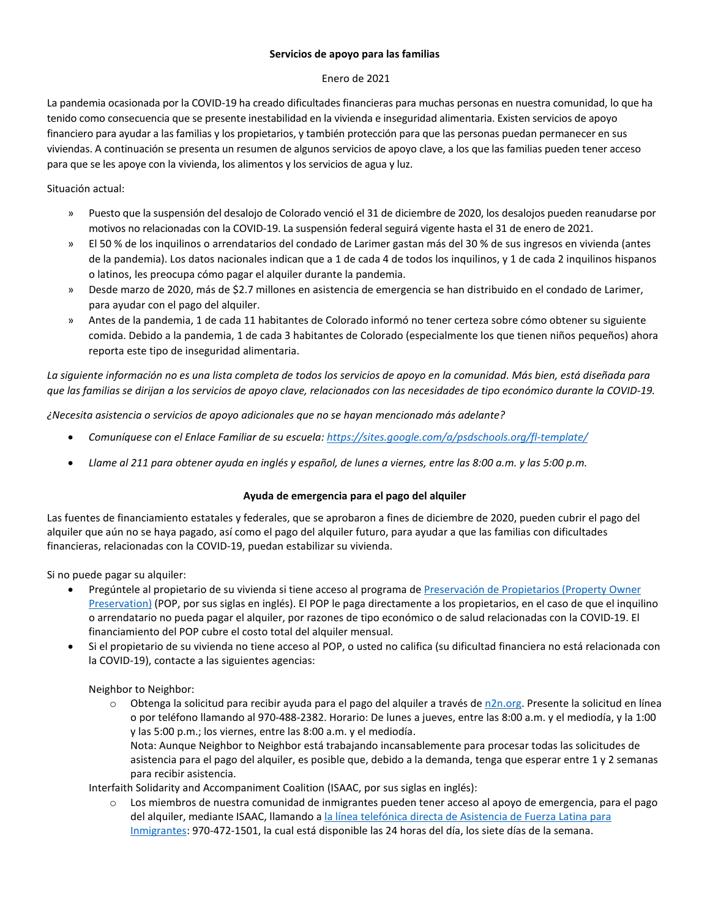#### **Servicios de apoyo para las familias**

#### Enero de 2021

La pandemia ocasionada por la COVID-19 ha creado dificultades financieras para muchas personas en nuestra comunidad, lo que ha tenido como consecuencia que se presente inestabilidad en la vivienda e inseguridad alimentaria. Existen servicios de apoyo financiero para ayudar a las familias y los propietarios, y también protección para que las personas puedan permanecer en sus viviendas. A continuación se presenta un resumen de algunos servicios de apoyo clave, a los que las familias pueden tener acceso para que se les apoye con la vivienda, los alimentos y los servicios de agua y luz.

#### Situación actual:

- » Puesto que la suspensión del desalojo de Colorado venció el 31 de diciembre de 2020, los desalojos pueden reanudarse por motivos no relacionadas con la COVID-19. La suspensión federal seguirá vigente hasta el 31 de enero de 2021.
- » El 50 % de los inquilinos o arrendatarios del condado de Larimer gastan más del 30 % de sus ingresos en vivienda (antes de la pandemia). Los datos nacionales indican que a 1 de cada 4 de todos los inquilinos, y 1 de cada 2 inquilinos hispanos o latinos, les preocupa cómo pagar el alquiler durante la pandemia.
- » Desde marzo de 2020, más de \$2.7 millones en asistencia de emergencia se han distribuido en el condado de Larimer, para ayudar con el pago del alquiler.
- » Antes de la pandemia, 1 de cada 11 habitantes de Colorado informó no tener certeza sobre cómo obtener su siguiente comida. Debido a la pandemia, 1 de cada 3 habitantes de Colorado (especialmente los que tienen niños pequeños) ahora reporta este tipo de inseguridad alimentaria.

*La siguiente información no es una lista completa de todos los servicios de apoyo en la comunidad. Más bien, está diseñada para que las familias se dirijan a los servicios de apoyo clave, relacionados con las necesidades de tipo económico durante la COVID-19.*

*¿Necesita asistencia o servicios de apoyo adicionales que no se hayan mencionado más adelante?*

- *Comuníquese con el Enlace Familiar de su escuela:<https://sites.google.com/a/psdschools.org/fl-template/>*
- *Llame al 211 para obtener ayuda en inglés y español, de lunes a viernes, entre las 8:00 a.m. y las 5:00 p.m.*

#### **Ayuda de emergencia para el pago del alquiler**

Las fuentes de financiamiento estatales y federales, que se aprobaron a fines de diciembre de 2020, pueden cubrir el pago del alquiler que aún no se haya pagado, así como el pago del alquiler futuro, para ayudar a que las familias con dificultades financieras, relacionadas con la COVID-19, puedan estabilizar su vivienda.

Si no puede pagar su alquiler:

- Pregúntele al propietario de su vivienda si tiene acceso al programa d[e Preservación de Propietarios \(Property Owner](https://dola.colorado.gov/doh_care/landlordLogin.jsf)  [Preservation\)](https://dola.colorado.gov/doh_care/landlordLogin.jsf) (POP, por sus siglas en inglés). El POP le paga directamente a los propietarios, en el caso de que el inquilino o arrendatario no pueda pagar el alquiler, por razones de tipo económico o de salud relacionadas con la COVID-19. El financiamiento del POP cubre el costo total del alquiler mensual.
- Si el propietario de su vivienda no tiene acceso al POP, o usted no califica (su dificultad financiera no está relacionada con la COVID-19), contacte a las siguientes agencias:

Neighbor to Neighbor:

 $\circ$  Obtenga la solicitud para recibir ayuda para el pago del alquiler a través d[e n2n.org.](http://n2n.org/) Presente la solicitud en línea o por teléfono llamando al 970-488-2382. Horario: De lunes a jueves, entre las 8:00 a.m. y el mediodía, y la 1:00 y las 5:00 p.m.; los viernes, entre las 8:00 a.m. y el mediodía.

Nota: Aunque Neighbor to Neighbor está trabajando incansablemente para procesar todas las solicitudes de asistencia para el pago del alquiler, es posible que, debido a la demanda, tenga que esperar entre 1 y 2 semanas para recibir asistencia.

Interfaith Solidarity and Accompaniment Coalition (ISAAC, por sus siglas en inglés):

o Los miembros de nuestra comunidad de inmigrantes pueden tener acceso al apoyo de emergencia, para el pago del alquiler, mediante ISAAC, llamando a [la línea telefónica directa de Asistencia de Fuerza Latina para](http://fccan.org/affiliates/fuerza-latina/)  [Inmigrantes:](http://fccan.org/affiliates/fuerza-latina/) 970-472-1501, la cual está disponible las 24 horas del día, los siete días de la semana.